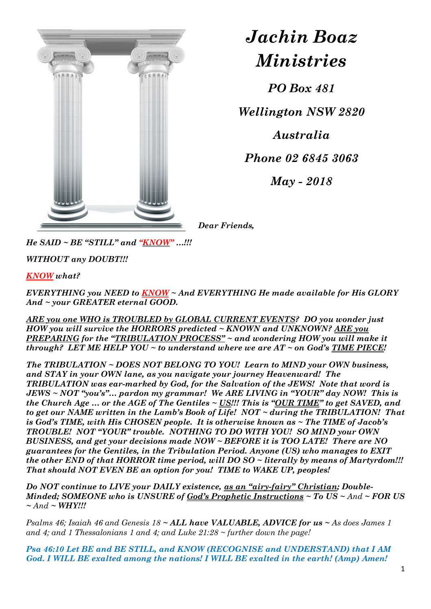

## *Jachin Boaz Ministries*

*PO Box 481*

*Wellington NSW 2820*

*Australia*

*Phone 02 6845 3063*

*May - 2018*

*Dear Friends,*

*He SAID ~ BE "STILL" and "KNOW" …!!!*

*WITHOUT any DOUBT!!!*

*KNOW what?*

*EVERYTHING you NEED to KNOW ~ And EVERYTHING He made available for His GLORY And ~ your GREATER eternal GOOD.*

*ARE you one WHO is TROUBLED by GLOBAL CURRENT EVENTS? DO you wonder just HOW you will survive the HORRORS predicted ~ KNOWN and UNKNOWN? ARE you PREPARING for the "TRIBULATION PROCESS" ~ and wondering HOW you will make it through? LET ME HELP YOU ~ to understand where we are AT ~ on God's TIME PIECE!*

*The TRIBULATION ~ DOES NOT BELONG TO YOU! Learn to MIND your OWN business, and STAY in your OWN lane, as you navigate your journey Heavenward! The TRIBULATION was ear-marked by God, for the Salvation of the JEWS! Note that word is JEWS ~ NOT "you's"… pardon my grammar! We ARE LIVING in "YOUR" day NOW! This is the Church Age … or the AGE of The Gentiles ~ US!!! This is "OUR TIME" to get SAVED, and to get our NAME written in the Lamb's Book of Life! NOT ~ during the TRIBULATION! That is God's TIME, with His CHOSEN people. It is otherwise known as ~ The TIME of Jacob's TROUBLE! NOT "YOUR" trouble. NOTHING TO DO WITH YOU! SO MIND your OWN BUSINESS, and get your decisions made NOW ~ BEFORE it is TOO LATE! There are NO guarantees for the Gentiles, in the Tribulation Period. Anyone (US) who manages to EXIT the other END of that HORROR time period, will DO SO ~ literally by means of Martyrdom!!! That should NOT EVEN BE an option for you! TIME to WAKE UP, peoples!*

*Do NOT continue to LIVE your DAILY existence, as an "airy-fairy" Christian; Double-Minded; SOMEONE who is UNSURE of God's Prophetic Instructions ~ To US ~ And ~ FOR US ~ And ~ WHY!!!*

*Psalms 46; Isaiah 46 and Genesis 18 ~ ALL have VALUABLE, ADVICE for us ~ As does James 1 and 4; and 1 Thessalonians 1 and 4; and Luke 21:28 ~ further down the page!*

*Psa 46:10 Let BE and BE STILL, and KNOW (RECOGNISE and UNDERSTAND) that I AM God. I WILL BE exalted among the nations! I WILL BE exalted in the earth! (Amp) Amen!*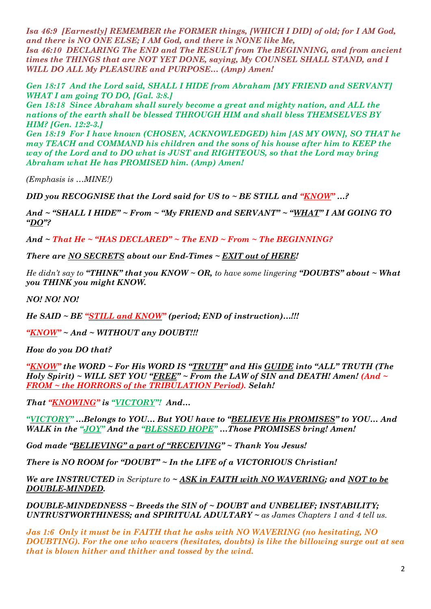*Isa 46:9 [Earnestly] REMEMBER the FORMER things, [WHICH I DID] of old; for I AM God, and there is NO ONE ELSE; I AM God, and there is NONE like Me, Isa 46:10 DECLARING The END and The RESULT from The BEGINNING, and from ancient times the THINGS that are NOT YET DONE, saying, My COUNSEL SHALL STAND, and I WILL DO ALL My PLEASURE and PURPOSE… (Amp) Amen!*

*Gen 18:17 And the Lord said, SHALL I HIDE from Abraham [MY FRIEND and SERVANT] WHAT I am going TO DO, [Gal. 3:8.]* 

*Gen 18:18 Since Abraham shall surely become a great and mighty nation, and ALL the nations of the earth shall be blessed THROUGH HIM and shall bless THEMSELVES BY HIM? [Gen. 12:2-3.]* 

*Gen 18:19 For I have known (CHOSEN, ACKNOWLEDGED) him [AS MY OWN], SO THAT he may TEACH and COMMAND his children and the sons of his house after him to KEEP the way of the Lord and to DO what is JUST and RIGHTEOUS, so that the Lord may bring Abraham what He has PROMISED him. (Amp) Amen!* 

*(Emphasis is …MINE!)* 

*DID you RECOGNISE that the Lord said for US to ~ BE STILL and "KNOW" …?* 

*And ~ "SHALL I HIDE" ~ From ~ "My FRIEND and SERVANT" ~ "WHAT" I AM GOING TO "DO"?*

*And ~ That He ~ "HAS DECLARED" ~ The END ~ From ~ The BEGINNING?*

*There are NO SECRETS about our End-Times ~ EXIT out of HERE!*

*He didn't say to "THINK" that you KNOW ~ OR, to have some lingering "DOUBTS" about ~ What you THINK you might KNOW.*

*NO! NO! NO!*

*He SAID ~ BE "STILL and KNOW" (period; END of instruction)…!!!*

*"KNOW" ~ And ~ WITHOUT any DOUBT!!!*

*How do you DO that?*

*"KNOW" the WORD ~ For His WORD IS "TRUTH" and His GUIDE into "ALL" TRUTH (The Holy Spirit) ~ WILL SET YOU "FREE" ~ From the LAW of SIN and DEATH! Amen! (And ~ FROM ~ the HORRORS of the TRIBULATION Period). Selah!*

*That "KNOWING" is "VICTORY"! And…* 

*"VICTORY" …Belongs to YOU… But YOU have to "BELIEVE His PROMISES" to YOU… And WALK in the "JOY" And the "BLESSED HOPE" …Those PROMISES bring! Amen!*

*God made "BELIEVING" a part of "RECEIVING" ~ Thank You Jesus!*

*There is NO ROOM for "DOUBT" ~ In the LIFE of a VICTORIOUS Christian!*

*We are INSTRUCTED in Scripture to ~ ASK in FAITH with NO WAVERING; and NOT to be DOUBLE-MINDED.* 

*DOUBLE-MINDEDNESS ~ Breeds the SIN of ~ DOUBT and UNBELIEF; INSTABILITY; UNTRUSTWORTHINESS; and SPIRITUAL ADULTARY ~ as James Chapters 1 and 4 tell us.*

*Jas 1:6 Only it must be in FAITH that he asks with NO WAVERING (no hesitating, NO DOUBTING). For the one who wavers (hesitates, doubts) is like the billowing surge out at sea that is blown hither and thither and tossed by the wind.*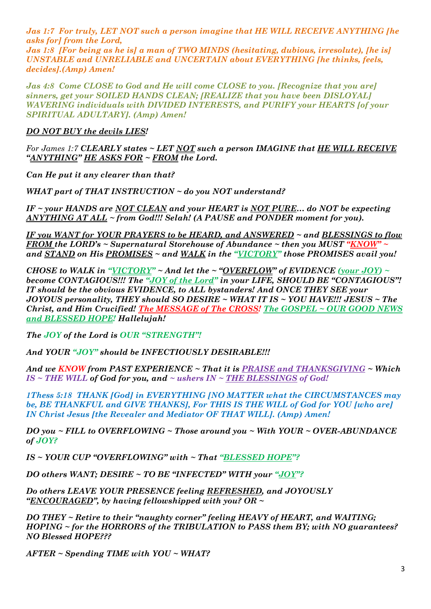*Jas 1:7 For truly, LET NOT such a person imagine that HE WILL RECEIVE ANYTHING [he asks for] from the Lord, Jas 1:8 [For being as he is] a man of TWO MINDS (hesitating, dubious, irresolute), [he is] UNSTABLE and UNRELIABLE and UNCERTAIN about EVERYTHING [he thinks, feels, decides].(Amp) Amen!*

*Jas 4:8 Come CLOSE to God and He will come CLOSE to you. [Recognize that you are] sinners, get your SOILED HANDS CLEAN; [REALIZE that you have been DISLOYAL] WAVERING individuals with DIVIDED INTERESTS, and PURIFY your HEARTS [of your SPIRITUAL ADULTARY]. (Amp) Amen!*

*DO NOT BUY the devils LIES!*

*For James 1:7 CLEARLY states ~ LET NOT such a person IMAGINE that HE WILL RECEIVE "ANYTHING" HE ASKS FOR ~ FROM the Lord.* 

*Can He put it any clearer than that?* 

*WHAT part of THAT INSTRUCTION ~ do you NOT understand?* 

*IF ~ your HANDS are NOT CLEAN and your HEART is NOT PURE… do NOT be expecting ANYTHING AT ALL ~ from God!!! Selah! (A PAUSE and PONDER moment for you).* 

*IF you WANT for YOUR PRAYERS to be HEARD, and ANSWERED ~ and BLESSINGS to flow FROM the LORD's ~ Supernatural Storehouse of Abundance ~ then you MUST "KNOW" ~ and STAND on His PROMISES ~ and WALK in the "VICTORY" those PROMISES avail you!*

*CHOSE to WALK in "VICTORY"*  $\sim$  *And let the*  $\sim$  "*OVERFLOW*" *of EVIDENCE* (your JOY)  $\sim$ *become CONTAGIOUS!!! The "JOY of the Lord" in your LIFE, SHOULD BE "CONTAGIOUS"! IT should be the obvious EVIDENCE, to ALL bystanders! And ONCE THEY SEE your JOYOUS personality, THEY should SO DESIRE ~ WHAT IT IS ~ YOU HAVE!!! JESUS ~ The Christ, and Him Crucified! The MESSAGE of The CROSS! The GOSPEL ~ OUR GOOD NEWS and BLESSED HOPE! Hallelujah!*

*The JOY of the Lord is OUR "STRENGTH"!*

*And YOUR "JOY" should be INFECTIOUSLY DESIRABLE!!!*

*And we KNOW from PAST EXPERIENCE ~ That it is PRAISE and THANKSGIVING ~ Which IS ~ THE WILL of God for you, and ~ ushers IN ~ THE BLESSINGS of God!*

*1Thess 5:18 THANK [God] in EVERYTHING [NO MATTER what the CIRCUMSTANCES may be, BE THANKFUL and GIVE THANKS], For THIS IS THE WILL of God for YOU [who are] IN Christ Jesus [the Revealer and Mediator OF THAT WILL]. (Amp) Amen!*

*DO you ~ FILL to OVERFLOWING ~ Those around you ~ With YOUR ~ OVER-ABUNDANCE of JOY?*

*IS ~ YOUR CUP "OVERFLOWING" with ~ That "BLESSED HOPE"?* 

*DO others WANT; DESIRE ~ TO BE "INFECTED" WITH your "JOY"?* 

*Do others LEAVE YOUR PRESENCE feeling REFRESHED, and JOYOUSLY "ENCOURAGED", by having fellowshipped with you? OR ~*

*DO THEY ~ Retire to their "naughty corner" feeling HEAVY of HEART, and WAITING; HOPING ~ for the HORRORS of the TRIBULATION to PASS them BY; with NO guarantees? NO Blessed HOPE???*

*AFTER ~ Spending TIME with YOU ~ WHAT?*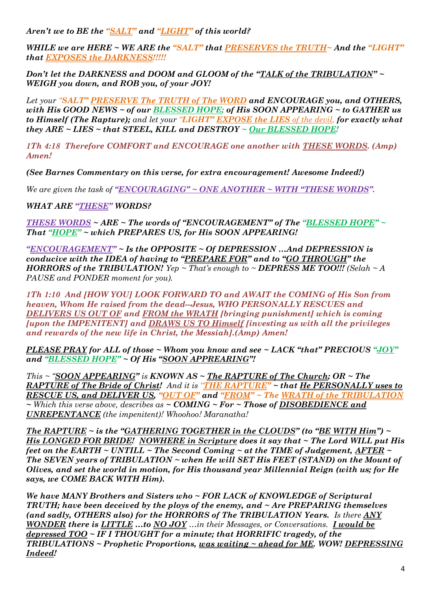*Aren't we to BE the "SALT" and "LIGHT" of this world?*

*WHILE we are HERE ~ WE ARE the "SALT" that PRESERVES the TRUTH~ And the "LIGHT" that EXPOSES the DARKNESS!!!!!*

*Don't let the DARKNESS and DOOM and GLOOM of the "TALK of the TRIBULATION" ~ WEIGH you down, and ROB you, of your JOY!* 

*Let your "SALT" PRESERVE The TRUTH of The WORD and ENCOURAGE you, and OTHERS, with His GOOD NEWS ~ of our BLESSED HOPE; of His SOON APPEARING ~ to GATHER us to Himself (The Rapture); and let your "LIGHT" EXPOSE the LIES of the devil, for exactly what they ARE ~ LIES ~ that STEEL, KILL and DESTROY ~ Our BLESSED HOPE!*

*1Th 4:18 Therefore COMFORT and ENCOURAGE one another with THESE WORDS. (Amp) Amen!* 

*(See Barnes Commentary on this verse, for extra encouragement! Awesome Indeed!)*

*We are given the task of "ENCOURAGING" ~ ONE ANOTHER ~ WITH "THESE WORDS".*

*WHAT ARE "THESE" WORDS?*

*THESE WORDS ~ ARE ~ The words of "ENCOURAGEMENT" of The "BLESSED HOPE" ~ That "HOPE" ~ which PREPARES US, for His SOON APPEARING!*

*"ENCOURAGEMENT" ~ Is the OPPOSITE ~ Of DEPRESSION …And DEPRESSION is conducive with the IDEA of having to "PREPARE FOR" and to "GO THROUGH" the HORRORS of the TRIBULATION!*  $Yep \sim That's enough to \sim DEPRESS ME TOO!!!$  *(Selah*  $\sim A$ *PAUSE and PONDER moment for you).*

*1Th 1:10 And [HOW YOU] LOOK FORWARD TO and AWAIT the COMING of His Son from heaven, Whom He raised from the dead--Jesus, WHO PERSONALLY RESCUES and DELIVERS US OUT OF and FROM the WRATH [bringing punishment] which is coming [upon the IMPENITENT] and DRAWS US TO Himself [investing us with all the privileges and rewards of the new life in Christ, the Messiah].(Amp) Amen!*

*PLEASE PRAY for ALL of those ~ Whom you know and see ~ LACK "that" PRECIOUS "JOY" and "BLESSED HOPE" ~ Of His "SOON APPREARING"!* 

*This ~ "SOON APPEARING" is KNOWN AS ~ The RAPTURE of The Church; OR ~ The RAPTURE of The Bride of Christ! And it is "THE RAPTURE" ~ that He PERSONALLY uses to RESCUE US, and DELIVER US, "OUT OF" and "FROM" ~ The WRATH of the TRIBULATION ~ Which this verse above, describes as ~ COMING ~ For ~ Those of DISOBEDIENCE and UNREPENTANCE (the impenitent)! Whoohoo! Maranatha!*

*The RAPTURE ~ is the "GATHERING TOGETHER in the CLOUDS" (to "BE WITH Him") ~ His LONGED FOR BRIDE! NOWHERE in Scripture does it say that ~ The Lord WILL put His feet on the EARTH ~ UNTILL ~ The Second Coming ~ at the TIME of Judgement, AFTER ~ The SEVEN years of TRIBULATION ~ when He will SET His FEET (STAND) on the Mount of Olives, and set the world in motion, for His thousand year Millennial Reign (with us; for He says, we COME BACK WITH Him).*

*We have MANY Brothers and Sisters who ~ FOR LACK of KNOWLEDGE of Scriptural TRUTH; have been deceived by the ploys of the enemy, and ~ Are PREPARING themselves (and sadly, OTHERS also) for the HORRORS of The TRIBULATION Years. Is there ANY WONDER there is LITTLE …to NO JOY …in their Messages, or Conversations. I would be depressed TOO ~ IF I THOUGHT for a minute; that HORRIFIC tragedy, of the TRIBULATIONS ~ Prophetic Proportions, was waiting ~ ahead for ME. WOW! DEPRESSING Indeed!*